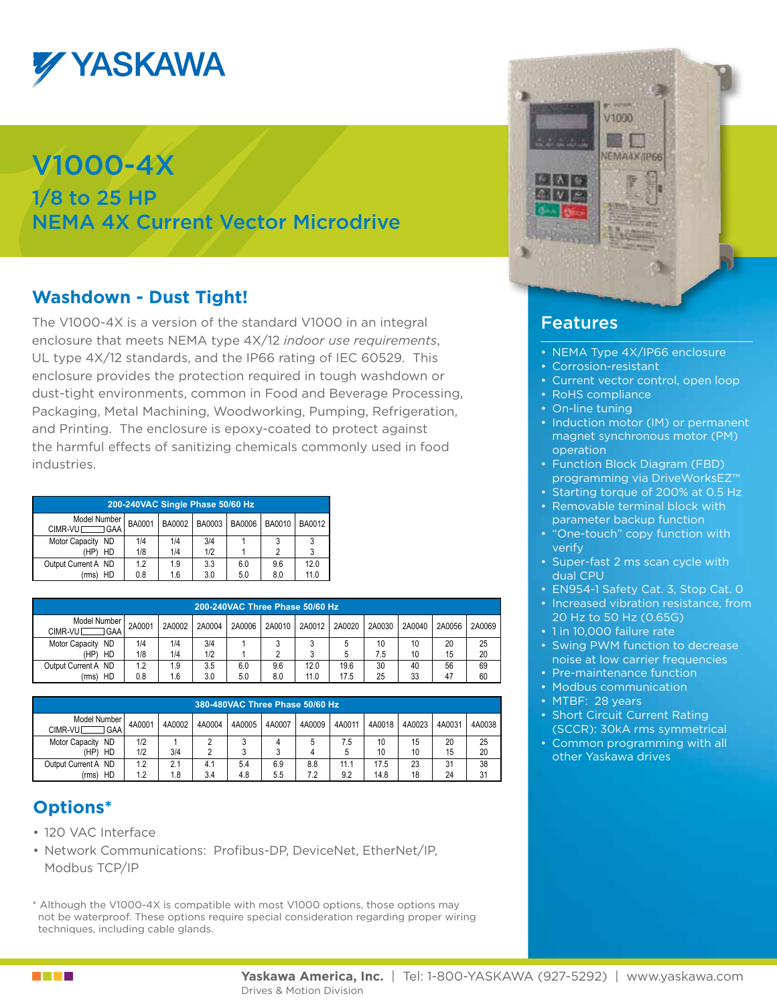

# V1000-4X

1/8 to 25 HP NEMA 4X Current Vector Microdrive

### **Washdown - Dust Tight!**

The V1000-4X is a version of the standard V1000 in an integral enclosure that meets NEMA type 4X/12 *indoor use requirements*, UL type 4X/12 standards, and the IP66 rating of IEC 60529. This enclosure provides the protection required in tough washdown or dust-tight environments, common in Food and Beverage Processing, Packaging, Metal Machining, Woodworking, Pumping, Refrigeration, and Printing. The enclosure is epoxy-coated to protect against the harmful effects of sanitizing chemicals commonly used in food industries.

| 200-240VAC Single Phase 50/60 Hz |                  |     |        |               |        |        |  |
|----------------------------------|------------------|-----|--------|---------------|--------|--------|--|
| Model Number<br>CIMR-VUI GAA     | BA0001<br>BA0002 |     | BA0003 | <b>BA0006</b> | BA0010 | BA0012 |  |
| Motor Capacity ND                | 1/4              | 1/4 | 3/4    |               |        |        |  |
| HD<br>(HP)                       | 1/8              | 1/4 | 1/2    |               |        |        |  |
| Output Current A ND              | 12               | 1.9 | 3.3    | 6.0           | 9.6    | 12.0   |  |
| HD<br>(rms)                      | 0.8              | 1.6 | 3.0    | 5.0           | 8.0    | 11.0   |  |

| 200-240VAC Three Phase 50/60 Hz  |        |        |        |        |        |        |        |        |        |        |        |
|----------------------------------|--------|--------|--------|--------|--------|--------|--------|--------|--------|--------|--------|
| Model Number<br>⊐GAA<br>CIMR-VUL | 2A0001 | 2A0002 | 2A0004 | 2A0006 | 2A0010 | 2A0012 | 2A0020 | 2A0030 | 2A0040 | 2A0056 | 2A0069 |
| <b>ND</b><br>Motor Capacity      | 1/4    | 1/4    | 3/4    |        |        |        | 5      | 10     | 10     | 20     | 25     |
| (HP)<br>HD                       | 1/8    | 1/4    | 1/2    |        |        |        | 5      | 7.5    | 10     | 15     | 20     |
| Output Current A ND              | 1.2    | 1.9    | 3.5    | 6.0    | 9.6    | 12.0   | 19.6   | 30     | 40     | 56     | 69     |
| HD<br>(rms)                      | 0.8    | 1.6    | 3.0    | 5.0    | 8.0    | 11.0   | 17.5   | 25     | 33     | 47     | 60     |

|                                     | 380-480VAC Three Phase 50/60 Hz |        |        |        |        |        |        |        |        |        |        |
|-------------------------------------|---------------------------------|--------|--------|--------|--------|--------|--------|--------|--------|--------|--------|
| Model Number I<br>l GAA<br>CIMR-VUL | 4A0001                          | 4A0002 | 4A0004 | 4A0005 | 4A0007 | 4A0009 | 4A0011 | 4A0018 | 4A0023 | 4A0031 | 4A0038 |
| <b>ND</b><br><b>Motor Capacity</b>  | 1/2                             |        |        |        | 4      |        | 7.5    | 10     | 15     | 20     | 25     |
| HD<br>(HP)                          | 1/2                             | 3/4    |        |        | ว<br>J |        | 5      | 10     | 10     | 15     | 20     |
| Output Current A ND                 | 1.2                             | 2.1    | 4.1    | 5.4    | 6.9    | 8.8    | 11.1   | 17.5   | 23     | 31     | 38     |
| HD<br>(rms)                         | 1.2                             | .8     | 3.4    | 4.8    | 5.5    | 7.2    | 9.2    | 14.8   | 18     | 24     | 31     |

### **Options\***

- 120 VAC Interface
- Network Communications: Profibus-DP, DeviceNet, EtherNet/IP, Modbus TCP/IP

\* Although the V1000-4X is compatible with most V1000 options, those options may not be waterproof. These options require special consideration regarding proper wiring techniques, including cable glands.



#### Features

- NEMA Type 4X/IP66 enclosure
- • Corrosion-resistant
- Current vector control, open loop
- RoHS compliance
- On-line tuning
- Induction motor (IM) or permanent magnet synchronous motor (PM) operation
- Function Block Diagram (FBD) programming via DriveWorksEZ™
- Starting torque of 200% at 0.5 Hz
- Removable terminal block with parameter backup function
- "One-touch" copy function with verify
- Super-fast 2 ms scan cycle with dual CPU
- EN954-1 Safety Cat. 3, Stop Cat. 0
- Increased vibration resistance, from 20 Hz to 50 Hz (0.65G)
- 1 in 10,000 failure rate
- Swing PWM function to decrease noise at low carrier frequencies
- Pre-maintenance function
- Modbus communication
- MTBF: 28 years
- Short Circuit Current Rating (SCCR): 30kA rms symmetrical
- Common programming with all other Yaskawa drives